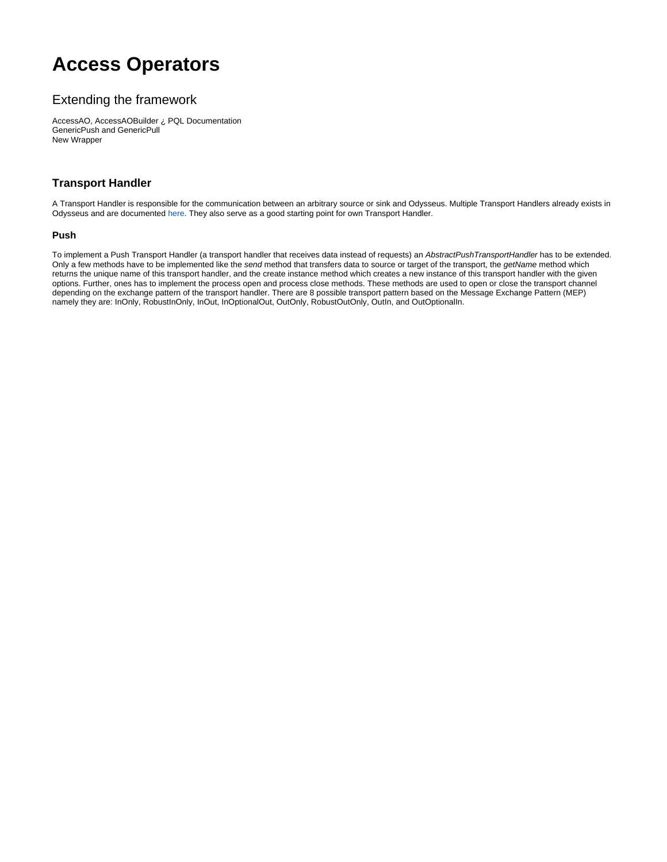# **Access Operators**

# Extending the framework

AccessAO, AccessAOBuilder ¿ PQL Documentation GenericPush and GenericPull New Wrapper

## **Transport Handler**

A Transport Handler is responsible for the communication between an arbitrary source or sink and Odysseus. Multiple Transport Handlers already exists in Odysseus and are documented [here](https://wiki.odysseus.informatik.uni-oldenburg.de/display/ODYSSEUS/Transport+handler). They also serve as a good starting point for own Transport Handler.

#### **Push**

To implement a Push Transport Handler (a transport handler that receives data instead of requests) an AbstractPushTransportHandler has to be extended. Only a few methods have to be implemented like the send method that transfers data to source or target of the transport, the getName method which returns the unique name of this transport handler, and the create instance method which creates a new instance of this transport handler with the given options. Further, ones has to implement the process open and process close methods. These methods are used to open or close the transport channel depending on the exchange pattern of the transport handler. There are 8 possible transport pattern based on the Message Exchange Pattern (MEP) namely they are: InOnly, RobustInOnly, InOut, InOptionalOut, OutOnly, RobustOutOnly, OutIn, and OutOptionalIn.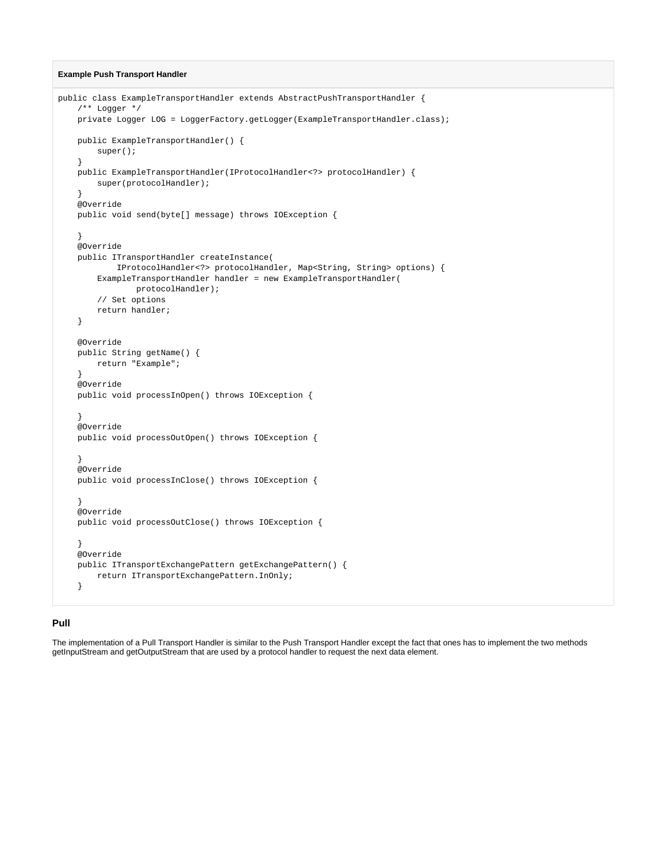#### **Example Push Transport Handler**

```
public class ExampleTransportHandler extends AbstractPushTransportHandler {
    /** Logger */
   private Logger LOG = LoggerFactory.getLogger(ExampleTransportHandler.class);
   public ExampleTransportHandler() {
       super();
    }
   public ExampleTransportHandler(IProtocolHandler<?> protocolHandler) {
       super(protocolHandler);
    }
    @Override
   public void send(byte[] message) throws IOException {
}
    @Override
   public ITransportHandler createInstance(
           IProtocolHandler<?> protocolHandler, Map<String, String> options) {
        ExampleTransportHandler handler = new ExampleTransportHandler(
              protocolHandler);
        // Set options
        return handler;
    }
    @Override
    public String getName() {
       return "Example";
}
    @Override
   public void processInOpen() throws IOException {
}
    @Override
   public void processOutOpen() throws IOException {
}
    @Override
   public void processInClose() throws IOException {
}
    @Override
   public void processOutClose() throws IOException {
}
    @Override
   public ITransportExchangePattern getExchangePattern() {
       return ITransportExchangePattern.InOnly;
}
```
#### **Pull**

The implementation of a Pull Transport Handler is similar to the Push Transport Handler except the fact that ones has to implement the two methods getInputStream and getOutputStream that are used by a protocol handler to request the next data element.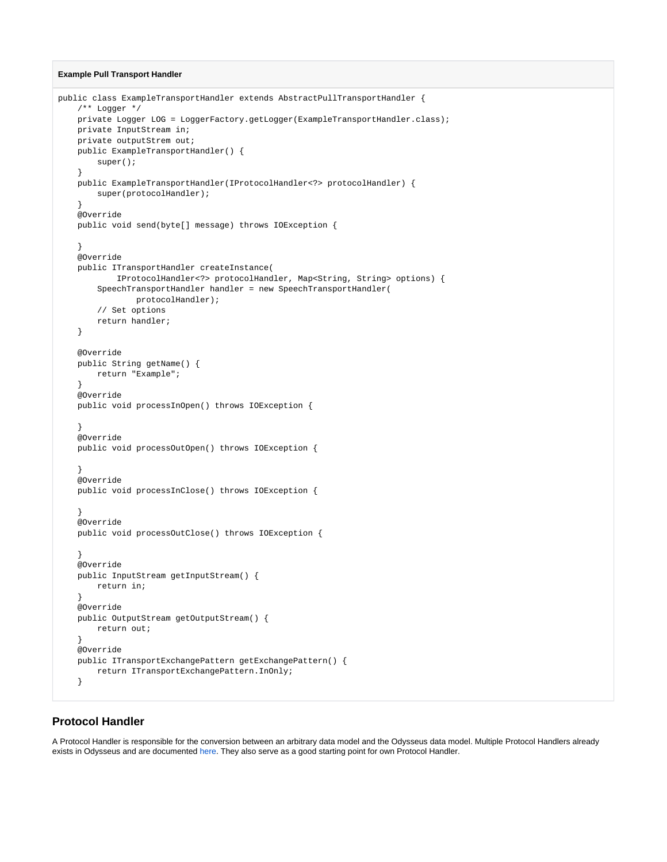#### **Example Pull Transport Handler**

```
public class ExampleTransportHandler extends AbstractPullTransportHandler {
    /** Logger */
  private Logger LOG = LoggerFactory.getLogger(ExampleTransportHandler.class);
   private InputStream in;
   private outputStrem out;
   public ExampleTransportHandler() {
       super();
}
   public ExampleTransportHandler(IProtocolHandler<?> protocolHandler) {
       super(protocolHandler);
    }
    @Override
   public void send(byte[] message) throws IOException {
}
   @Override
   public ITransportHandler createInstance(
           IProtocolHandler<?> protocolHandler, Map<String, String> options) {
        SpeechTransportHandler handler = new SpeechTransportHandler(
               protocolHandler);
        // Set options
       return handler;
    }
    @Override
    public String getName() {
       return "Example";
}
    @Override
   public void processInOpen() throws IOException {
}
    @Override
   public void processOutOpen() throws IOException {
    }
    @Override
   public void processInClose() throws IOException {
}
   @Override
   public void processOutClose() throws IOException {
}
    @Override
   public InputStream getInputStream() {
       return in;
}
   @Override
   public OutputStream getOutputStream() {
       return out;
}
    @Override
   public ITransportExchangePattern getExchangePattern() {
       return ITransportExchangePattern.InOnly;
    }
```
### **Protocol Handler**

A Protocol Handler is responsible for the conversion between an arbitrary data model and the Odysseus data model. Multiple Protocol Handlers already exists in Odysseus and are documented [here.](https://wiki.odysseus.informatik.uni-oldenburg.de/display/ODYSSEUS/Protocol+handler) They also serve as a good starting point for own Protocol Handler.